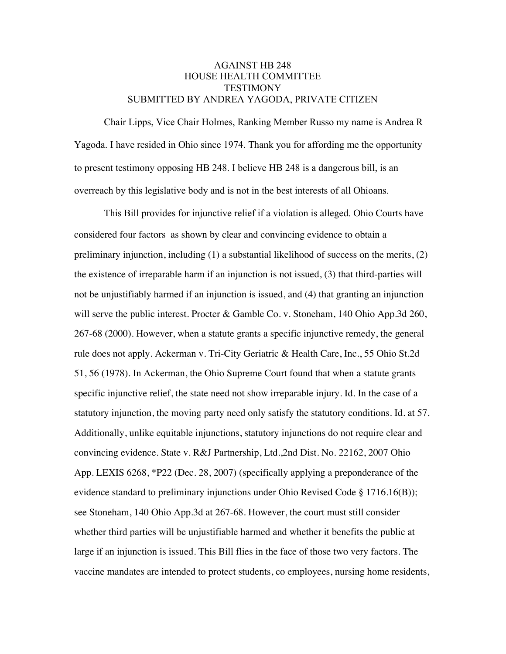## AGAINST HB 248 HOUSE HEALTH COMMITTEE **TESTIMONY** SUBMITTED BY ANDREA YAGODA, PRIVATE CITIZEN

Chair Lipps, Vice Chair Holmes, Ranking Member Russo my name is Andrea R Yagoda. I have resided in Ohio since 1974. Thank you for affording me the opportunity to present testimony opposing HB 248. I believe HB 248 is a dangerous bill, is an overreach by this legislative body and is not in the best interests of all Ohioans.

This Bill provides for injunctive relief if a violation is alleged. Ohio Courts have considered four factors as shown by clear and convincing evidence to obtain a preliminary injunction, including (1) a substantial likelihood of success on the merits, (2) the existence of irreparable harm if an injunction is not issued, (3) that third-parties will not be unjustifiably harmed if an injunction is issued, and (4) that granting an injunction will serve the public interest. Procter & Gamble Co. v. Stoneham, 140 Ohio App.3d 260, 267-68 (2000). However, when a statute grants a specific injunctive remedy, the general rule does not apply. Ackerman v. Tri-City Geriatric & Health Care, Inc., 55 Ohio St.2d 51, 56 (1978). In Ackerman, the Ohio Supreme Court found that when a statute grants specific injunctive relief, the state need not show irreparable injury. Id. In the case of a statutory injunction, the moving party need only satisfy the statutory conditions. Id. at 57. Additionally, unlike equitable injunctions, statutory injunctions do not require clear and convincing evidence. State v. R&J Partnership, Ltd.,2nd Dist. No. 22162, 2007 Ohio App. LEXIS 6268, \*P22 (Dec. 28, 2007) (specifically applying a preponderance of the evidence standard to preliminary injunctions under Ohio Revised Code § 1716.16(B)); see Stoneham, 140 Ohio App.3d at 267-68. However, the court must still consider whether third parties will be unjustifiable harmed and whether it benefits the public at large if an injunction is issued. This Bill flies in the face of those two very factors. The vaccine mandates are intended to protect students, co employees, nursing home residents,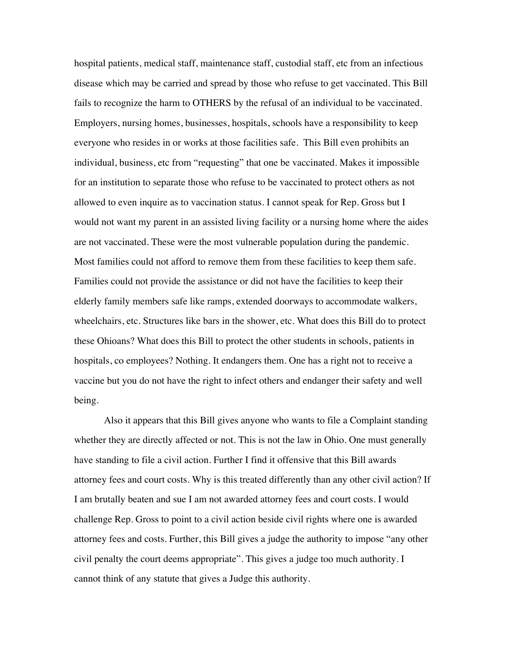hospital patients, medical staff, maintenance staff, custodial staff, etc from an infectious disease which may be carried and spread by those who refuse to get vaccinated. This Bill fails to recognize the harm to OTHERS by the refusal of an individual to be vaccinated. Employers, nursing homes, businesses, hospitals, schools have a responsibility to keep everyone who resides in or works at those facilities safe. This Bill even prohibits an individual, business, etc from "requesting" that one be vaccinated. Makes it impossible for an institution to separate those who refuse to be vaccinated to protect others as not allowed to even inquire as to vaccination status. I cannot speak for Rep. Gross but I would not want my parent in an assisted living facility or a nursing home where the aides are not vaccinated. These were the most vulnerable population during the pandemic. Most families could not afford to remove them from these facilities to keep them safe. Families could not provide the assistance or did not have the facilities to keep their elderly family members safe like ramps, extended doorways to accommodate walkers, wheelchairs, etc. Structures like bars in the shower, etc. What does this Bill do to protect these Ohioans? What does this Bill to protect the other students in schools, patients in hospitals, co employees? Nothing. It endangers them. One has a right not to receive a vaccine but you do not have the right to infect others and endanger their safety and well being.

Also it appears that this Bill gives anyone who wants to file a Complaint standing whether they are directly affected or not. This is not the law in Ohio. One must generally have standing to file a civil action. Further I find it offensive that this Bill awards attorney fees and court costs. Why is this treated differently than any other civil action? If I am brutally beaten and sue I am not awarded attorney fees and court costs. I would challenge Rep. Gross to point to a civil action beside civil rights where one is awarded attorney fees and costs. Further, this Bill gives a judge the authority to impose "any other civil penalty the court deems appropriate". This gives a judge too much authority. I cannot think of any statute that gives a Judge this authority.